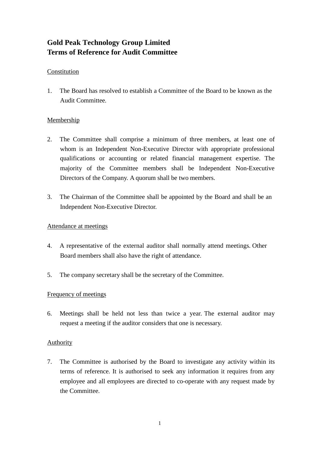# **Gold Peak Technology Group Limited Terms of Reference for Audit Committee**

## Constitution

1. The Board has resolved to establish a Committee of the Board to be known as the Audit Committee.

## Membership

- 2. The Committee shall comprise a minimum of three members, at least one of whom is an Independent Non-Executive Director with appropriate professional qualifications or accounting or related financial management expertise. The majority of the Committee members shall be Independent Non-Executive Directors of the Company. A quorum shall be two members.
- 3. The Chairman of the Committee shall be appointed by the Board and shall be an Independent Non-Executive Director.

## Attendance at meetings

- 4. A representative of the external auditor shall normally attend meetings. Other Board members shall also have the right of attendance.
- 5. The company secretary shall be the secretary of the Committee.

## Frequency of meetings

6. Meetings shall be held not less than twice a year. The external auditor may request a meeting if the auditor considers that one is necessary.

## Authority

7. The Committee is authorised by the Board to investigate any activity within its terms of reference. It is authorised to seek any information it requires from any employee and all employees are directed to co-operate with any request made by the Committee.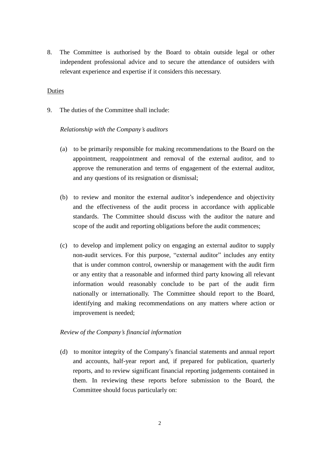8. The Committee is authorised by the Board to obtain outside legal or other independent professional advice and to secure the attendance of outsiders with relevant experience and expertise if it considers this necessary.

#### Duties

9. The duties of the Committee shall include:

#### *Relationship with the Company's auditors*

- (a) to be primarily responsible for making recommendations to the Board on the appointment, reappointment and removal of the external auditor, and to approve the remuneration and terms of engagement of the external auditor, and any questions of its resignation or dismissal;
- (b) to review and monitor the external auditor's independence and objectivity and the effectiveness of the audit process in accordance with applicable standards. The Committee should discuss with the auditor the nature and scope of the audit and reporting obligations before the audit commences;
- (c) to develop and implement policy on engaging an external auditor to supply non-audit services. For this purpose, "external auditor" includes any entity that is under common control, ownership or management with the audit firm or any entity that a reasonable and informed third party knowing all relevant information would reasonably conclude to be part of the audit firm nationally or internationally. The Committee should report to the Board, identifying and making recommendations on any matters where action or improvement is needed;

#### *Review of the Company's financial information*

(d) to monitor integrity of the Company's financial statements and annual report and accounts, half-year report and, if prepared for publication, quarterly reports, and to review significant financial reporting judgements contained in them. In reviewing these reports before submission to the Board, the Committee should focus particularly on: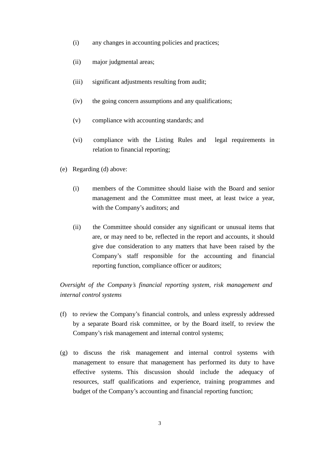- (i) any changes in accounting policies and practices;
- (ii) major judgmental areas;
- (iii) significant adjustments resulting from audit;
- (iv) the going concern assumptions and any qualifications;
- (v) compliance with accounting standards; and
- (vi) compliance with the Listing Rules and legal requirements in relation to financial reporting;
- (e) Regarding (d) above:
	- (i) members of the Committee should liaise with the Board and senior management and the Committee must meet, at least twice a year, with the Company's auditors; and
	- (ii) the Committee should consider any significant or unusual items that are, or may need to be, reflected in the report and accounts, it should give due consideration to any matters that have been raised by the Company's staff responsible for the accounting and financial reporting function, compliance officer or auditors;

## *Oversight of the Company's financial reporting system, risk management and internal control systems*

- (f) to review the Company's financial controls, and unless expressly addressed by a separate Board risk committee, or by the Board itself, to review the Company's risk management and internal control systems;
- (g) to discuss the risk management and internal control systems with management to ensure that management has performed its duty to have effective systems. This discussion should include the adequacy of resources, staff qualifications and experience, training programmes and budget of the Company's accounting and financial reporting function;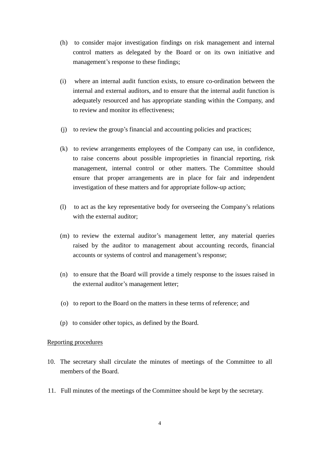- (h) to consider major investigation findings on risk management and internal control matters as delegated by the Board or on its own initiative and management's response to these findings;
- (i) where an internal audit function exists, to ensure co-ordination between the internal and external auditors, and to ensure that the internal audit function is adequately resourced and has appropriate standing within the Company, and to review and monitor its effectiveness;
- (j) to review the group's financial and accounting policies and practices;
- (k) to review arrangements employees of the Company can use, in confidence, to raise concerns about possible improprieties in financial reporting, risk management, internal control or other matters. The Committee should ensure that proper arrangements are in place for fair and independent investigation of these matters and for appropriate follow-up action;
- (l) to act as the key representative body for overseeing the Company's relations with the external auditor;
- (m) to review the external auditor's management letter, any material queries raised by the auditor to management about accounting records, financial accounts or systems of control and management's response;
- (n) to ensure that the Board will provide a timely response to the issues raised in the external auditor's management letter;
- (o) to report to the Board on the matters in these terms of reference; and
- (p) to consider other topics, as defined by the Board.

#### Reporting procedures

- 10. The secretary shall circulate the minutes of meetings of the Committee to all members of the Board.
- 11. Full minutes of the meetings of the Committee should be kept by the secretary.